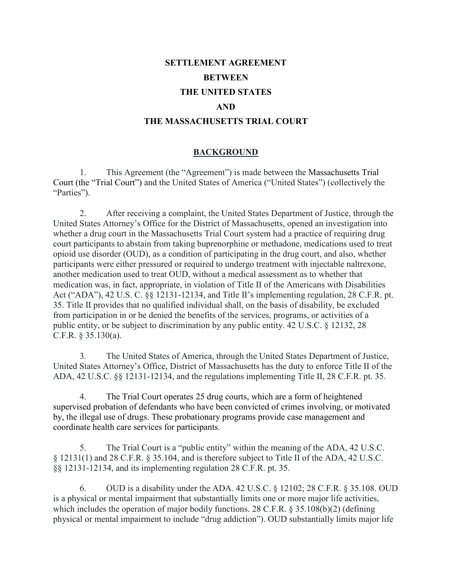# **SETTLEMENT AGREEMENT BETWEEN THE UNITED STATES AND THE MASSACHUSETTS TRIAL COURT**

### **BACKGROUND**

1. This Agreement (the "Agreement") is made between the Massachusetts Trial Court (the "Trial Court") and the United States of America ("United States") (collectively the "Parties").

2. After receiving a complaint, the United States Department of Justice, through the United States Attorney's Office for the District of Massachusetts, opened an investigation into whether a drug court in the Massachusetts Trial Court system had a practice of requiring drug court participants to abstain from taking buprenorphine or methadone, medications used to treat opioid use disorder (OUD), as a condition of participating in the drug court, and also, whether participants were either pressured or required to undergo treatment with injectable naltrexone, another medication used to treat OUD, without a medical assessment as to whether that medication was, in fact, appropriate, in violation of Title II of the Americans with Disabilities Act ("ADA"), 42 U.S. C. §§ 12131-12134, and Title II's implementing regulation, 28 C.F.R. pt. 35. Title II provides that no qualified individual shall, on the basis of disability, be excluded from participation in or be denied the benefits of the services, programs, or activities of a public entity, or be subject to discrimination by any public entity. 42 U.S.C. § 12132, 28 C.F.R. § 35.130(a).

3. The United States of America, through the United States Department of Justice, United States Attorney's Office, District of Massachusetts has the duty to enforce Title II of the ADA, 42 U.S.C. §§ 12131-12134, and the regulations implementing Title II, 28 C.F.R. pt. 35.

4. The Trial Court operates 25 drug courts, which are a form of heightened supervised probation of defendants who have been convicted of crimes involving, or motivated by, the illegal use of drugs. These probationary programs provide case management and coordinate health care services for participants.

5. The Trial Court is a "public entity" within the meaning of the ADA, 42 U.S.C. § 12131(1) and 28 C.F.R. § 35.104, and is therefore subject to Title II of the ADA, 42 U.S.C. §§ 12131-12134, and its implementing regulation 28 C.F.R. pt. 35.

6. OUD is a disability under the ADA. 42 U.S.C. § 12102; 28 C.F.R. § 35.108. OUD is a physical or mental impairment that substantially limits one or more major life activities, which includes the operation of major bodily functions. 28 C.F.R. § 35.108(b)(2) (defining physical or mental impairment to include "drug addiction"). OUD substantially limits major life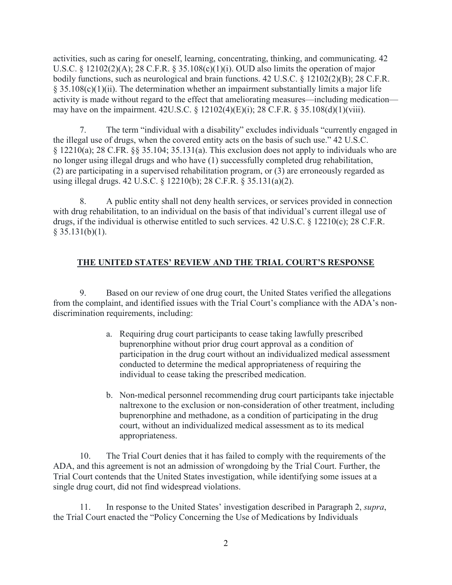activities, such as caring for oneself, learning, concentrating, thinking, and communicating. 42 U.S.C. § 12102(2)(A); 28 C.F.R. § 35.108(c)(1)(i). OUD also limits the operation of major bodily functions, such as neurological and brain functions. 42 U.S.C. § 12102(2)(B); 28 C.F.R.  $\S 35.108(c)(1)(ii)$ . The determination whether an impairment substantially limits a major life activity is made without regard to the effect that ameliorating measures—including medication may have on the impairment. 42U.S.C. § 12102(4)(E)(i); 28 C.F.R. § 35.108(d)(1)(viii).

7. The term "individual with a disability" excludes individuals "currently engaged in the illegal use of drugs, when the covered entity acts on the basis of such use." 42 U.S.C. § 12210(a); 28 C.FR. §§ 35.104; 35.131(a). This exclusion does not apply to individuals who are no longer using illegal drugs and who have (1) successfully completed drug rehabilitation, (2) are participating in a supervised rehabilitation program, or (3) are erroneously regarded as using illegal drugs. 42 U.S.C. § 12210(b); 28 C.F.R. § 35.131(a)(2).

8. A public entity shall not deny health services, or services provided in connection with drug rehabilitation, to an individual on the basis of that individual's current illegal use of drugs, if the individual is otherwise entitled to such services. 42 U.S.C. § 12210(c); 28 C.F.R.  $§$  35.131(b)(1).

## **THE UNITED STATES' REVIEW AND THE TRIAL COURT'S RESPONSE**

9. Based on our review of one drug court, the United States verified the allegations from the complaint, and identified issues with the Trial Court's compliance with the ADA's nondiscrimination requirements, including:

- a. Requiring drug court participants to cease taking lawfully prescribed buprenorphine without prior drug court approval as a condition of participation in the drug court without an individualized medical assessment conducted to determine the medical appropriateness of requiring the individual to cease taking the prescribed medication.
- b. Non-medical personnel recommending drug court participants take injectable naltrexone to the exclusion or non-consideration of other treatment, including buprenorphine and methadone, as a condition of participating in the drug court, without an individualized medical assessment as to its medical appropriateness.

10. The Trial Court denies that it has failed to comply with the requirements of the ADA, and this agreement is not an admission of wrongdoing by the Trial Court. Further, the Trial Court contends that the United States investigation, while identifying some issues at a single drug court, did not find widespread violations.

11. In response to the United States' investigation described in Paragraph 2, *supra*, the Trial Court enacted the "Policy Concerning the Use of Medications by Individuals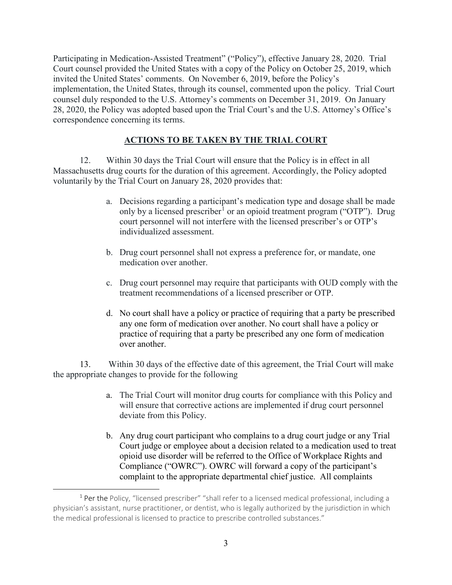Participating in Medication-Assisted Treatment" ("Policy"), effective January 28, 2020. Trial Court counsel provided the United States with a copy of the Policy on October 25, 2019, which invited the United States' comments. On November 6, 2019, before the Policy's implementation, the United States, through its counsel, commented upon the policy. Trial Court counsel duly responded to the U.S. Attorney's comments on December 31, 2019. On January 28, 2020, the Policy was adopted based upon the Trial Court's and the U.S. Attorney's Office's correspondence concerning its terms.

## **ACTIONS TO BE TAKEN BY THE TRIAL COURT**

12. Within 30 days the Trial Court will ensure that the Policy is in effect in all Massachusetts drug courts for the duration of this agreement. Accordingly, the Policy adopted voluntarily by the Trial Court on January 28, 2020 provides that:

- a. Decisions regarding a participant's medication type and dosage shall be made only by a licensed prescriber<sup>[1](#page-2-0)</sup> or an opioid treatment program ("OTP"). Drug court personnel will not interfere with the licensed prescriber's or OTP's individualized assessment.
- b. Drug court personnel shall not express a preference for, or mandate, one medication over another.
- c. Drug court personnel may require that participants with OUD comply with the treatment recommendations of a licensed prescriber or OTP.
- d. No court shall have a policy or practice of requiring that a party be prescribed any one form of medication over another. No court shall have a policy or practice of requiring that a party be prescribed any one form of medication over another.

13. Within 30 days of the effective date of this agreement, the Trial Court will make the appropriate changes to provide for the following

- a. The Trial Court will monitor drug courts for compliance with this Policy and will ensure that corrective actions are implemented if drug court personnel deviate from this Policy.
- b. Any drug court participant who complains to a drug court judge or any Trial Court judge or employee about a decision related to a medication used to treat opioid use disorder will be referred to the Office of Workplace Rights and Compliance ("OWRC"). OWRC will forward a copy of the participant's complaint to the appropriate departmental chief justice. All complaints

<span id="page-2-0"></span> $\overline{a}$ <sup>1</sup> Per the Policy, "licensed prescriber" "shall refer to a licensed medical professional, including a physician's assistant, nurse practitioner, or dentist, who is legally authorized by the jurisdiction in which the medical professional is licensed to practice to prescribe controlled substances."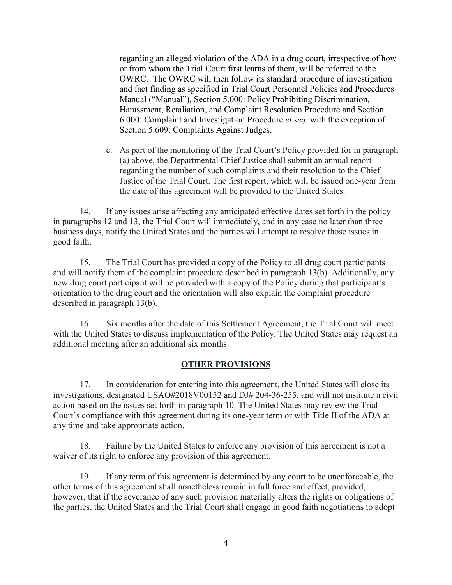regarding an alleged violation of the ADA in a drug court, irrespective of how or from whom the Trial Court first learns of them, will be referred to the OWRC. The OWRC will then follow its standard procedure of investigation and fact finding as specified in Trial Court Personnel Policies and Procedures Manual ("Manual"), Section 5.000: Policy Prohibiting Discrimination, Harassment, Retaliation, and Complaint Resolution Procedure and Section 6.000: Complaint and Investigation Procedure *et seq.* with the exception of Section 5.609: Complaints Against Judges.

c. As part of the monitoring of the Trial Court's Policy provided for in paragraph (a) above, the Departmental Chief Justice shall submit an annual report regarding the number of such complaints and their resolution to the Chief Justice of the Trial Court. The first report, which will be issued one-year from the date of this agreement will be provided to the United States.

14. If any issues arise affecting any anticipated effective dates set forth in the policy in paragraphs 12 and 13, the Trial Court will immediately, and in any case no later than three business days, notify the United States and the parties will attempt to resolve those issues in good faith.

15. The Trial Court has provided a copy of the Policy to all drug court participants and will notify them of the complaint procedure described in paragraph 13(b). Additionally, any new drug court participant will be provided with a copy of the Policy during that participant's orientation to the drug court and the orientation will also explain the complaint procedure described in paragraph 13(b).

16. Six months after the date of this Settlement Agreement, the Trial Court will meet with the United States to discuss implementation of the Policy. The United States may request an additional meeting after an additional six months.

#### **OTHER PROVISIONS**

17. In consideration for entering into this agreement, the United States will close its investigations, designated USAO#2018V00152 and DJ# 204-36-255, and will not institute a civil action based on the issues set forth in paragraph 10. The United States may review the Trial Court's compliance with this agreement during its one-year term or with Title II of the ADA at any time and take appropriate action.

18. Failure by the United States to enforce any provision of this agreement is not a waiver of its right to enforce any provision of this agreement.

19. If any term of this agreement is determined by any court to be unenforceable, the other terms of this agreement shall nonetheless remain in full force and effect, provided, however, that if the severance of any such provision materially alters the rights or obligations of the parties, the United States and the Trial Court shall engage in good faith negotiations to adopt